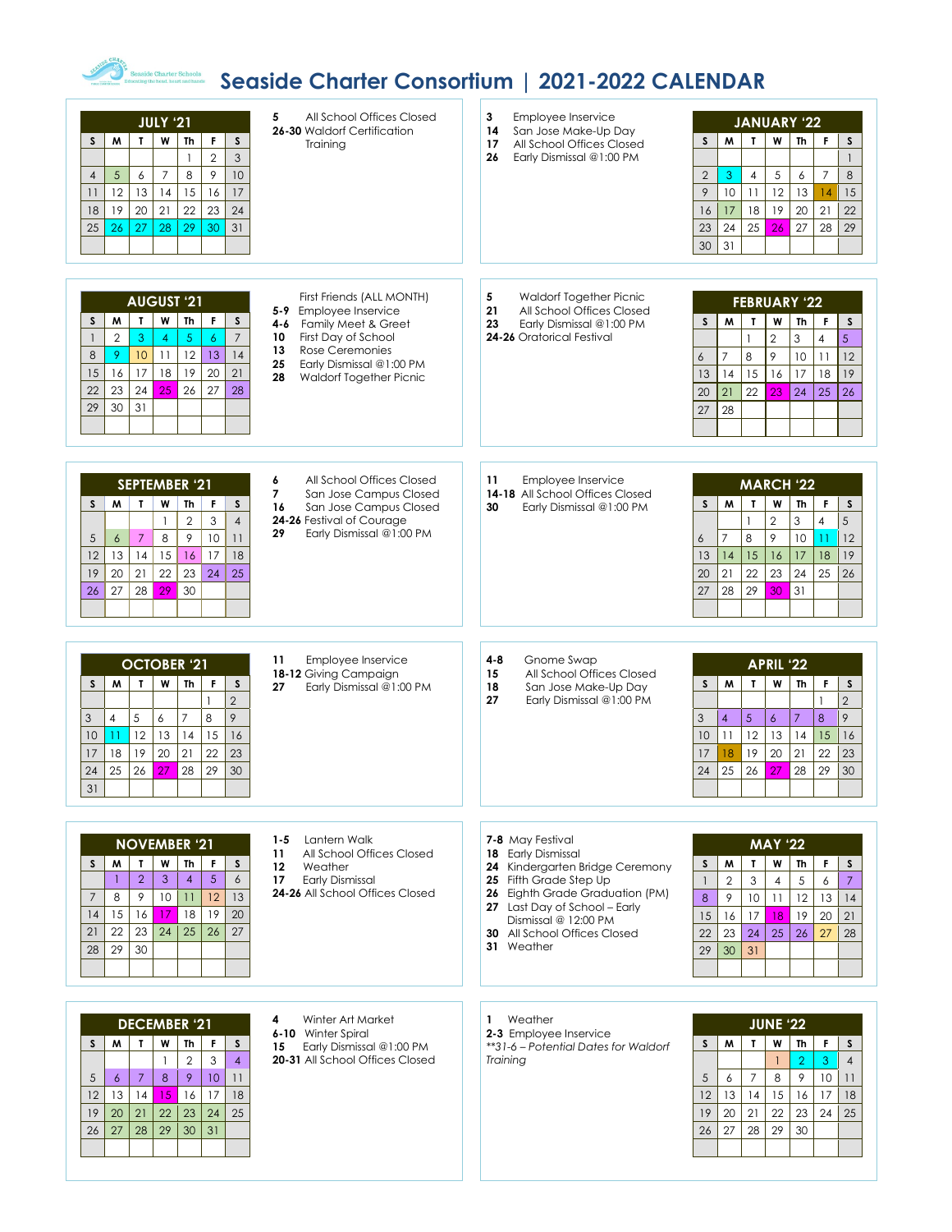## *Seaside Charter Consortium* | 2021-2022 CALENDAR

| All School Offices Closed<br>5<br><b>JULY '21</b><br>26-30 Waldorf Certification<br>W<br>M<br>L<br>Th<br>F<br>S<br><sub>S</sub><br>Training<br>$\mathfrak{S}$<br>$\overline{2}$<br>10<br>$\overline{7}$<br>8<br>9<br>$\sqrt{5}$<br>6<br>$\overline{4}$<br>12<br>13<br>15<br>17<br>14<br>16<br>11<br>19<br>20<br>21<br>22<br>23<br>24<br>18<br>27<br>26<br>28<br>29<br>30<br>31<br>25                                                                                                                                           | Employee Inservice<br>3<br><b>JANUARY '22</b><br>San Jose Make-Up Day<br>14<br>M<br>T.<br>W<br>Th<br>F<br>S<br>S<br>All School Offices Closed<br>17<br>26<br>Early Dismissal @1:00 PM<br>$\mathbf{1}$<br>5<br>$\overline{7}$<br>$\overline{2}$<br>3<br>$\overline{4}$<br>6<br>8<br>12<br>15<br>9<br>10<br>13<br>11<br>14<br>18<br>19<br>20<br>21<br>22<br>17<br>16<br>25<br>24<br>27<br>28<br>29<br>23<br>26<br>31<br>30                                                                                                                             |
|--------------------------------------------------------------------------------------------------------------------------------------------------------------------------------------------------------------------------------------------------------------------------------------------------------------------------------------------------------------------------------------------------------------------------------------------------------------------------------------------------------------------------------|------------------------------------------------------------------------------------------------------------------------------------------------------------------------------------------------------------------------------------------------------------------------------------------------------------------------------------------------------------------------------------------------------------------------------------------------------------------------------------------------------------------------------------------------------|
| First Friends (ALL MONTH)<br><b>AUGUST '21</b><br>5-9 Employee Inservice<br>W<br>Th<br>F<br>S<br>M<br>$\mathbf{r}$<br>S<br>Family Meet & Greet<br>4-6<br>$\overline{7}$<br>$\mathbf{2}$<br>3<br>5<br>$\overline{6}$<br>First Day of School<br>$\overline{1}$<br>$\overline{4}$<br>10<br>Rose Ceremonies<br>13<br>8<br>9<br>12<br>13<br>14<br>10<br>11<br>25<br>Early Dismissal @1:00 PM<br>21<br>15<br>16<br>17<br>18<br>19<br>20<br>28<br>Waldorf Together Picnic<br>28<br>24<br>25<br>26<br>27<br>22<br>23<br>30<br>31<br>29 | Waldorf Together Picnic<br>5<br><b>FEBRUARY '22</b><br>21<br>All School Offices Closed<br>W<br>M<br>$\mathbf{r}$<br><b>Th</b><br>F<br><sub>S</sub><br>S<br>23<br>Early Dismissal @1:00 PM<br>$\overline{2}$<br>5<br>24-26 Oratorical Festival<br>3<br>$\overline{4}$<br>9<br>$\overline{7}$<br>8<br>10<br>11<br>12<br>6<br>16<br>17<br>19<br>13<br>14<br>15<br>18<br>22<br>24<br>20<br>21<br>23<br>25<br>26<br>28<br>27                                                                                                                              |
| All School Offices Closed<br>6<br><b>SEPTEMBER '21</b><br>$\overline{\mathbf{z}}$<br>San Jose Campus Closed<br>M<br>T.<br>W<br>Th<br>$\mathsf F$<br>S.<br>S<br>16<br>San Jose Campus Closed<br>$\overline{4}$<br>$\overline{2}$<br>3<br>24-26 Festival of Courage<br>$\mathbf{1}$<br>29<br>Early Dismissal @1:00 PM<br>10<br>9<br>11<br>$\overline{7}$<br>8<br>5<br>6<br>17<br>13<br>14<br>15<br>16<br>18<br>12<br>20<br>21<br>22<br>23<br>25<br>19<br>24<br>27<br>29<br>28<br>30<br>26                                        | 11<br>Employee Inservice<br><b>MARCH '22</b><br>14-18 All School Offices Closed<br>M<br>W<br>Th<br>F<br>$\mathsf S$<br>S<br>$\mathbf{r}$<br>30<br>Early Dismissal @1:00 PM<br>$\ensuremath{\mathsf{3}}$<br>5<br>$\overline{2}$<br>$\overline{4}$<br>1<br>9<br>8<br>10<br>12<br>$\overline{7}$<br>6<br>$\overline{11}$<br>19<br>15<br>16<br>17<br>18<br>14<br>13<br>22<br>23<br>21<br>24<br>25<br>26<br>20<br>28<br>29<br>31<br>27<br>30                                                                                                              |
| Employee Inservice<br>11<br><b>OCTOBER '21</b><br>18-12 Giving Campaign<br>W<br>Th<br>F<br>$\mathsf{s}$<br><sub>S</sub><br>M<br>T.<br>Early Dismissal @1:00 PM<br>27<br>$\overline{2}$<br>9<br>$\overline{7}$<br>8<br>5<br>3<br>4<br>6<br>12<br>13<br>15<br>16<br>14<br>10<br>$\overline{11}$<br>19<br>$20\,$<br>21<br>22<br>23<br>18<br>17<br>26<br>28<br>30<br>25<br>27<br>29<br>24<br>31                                                                                                                                    | $4 - 8$<br>Gnome Swap<br><b>APRIL '22</b><br>15<br>All School Offices Closed<br>M<br>$\mathbf{L}$<br>W<br><b>Th</b><br>F<br>$\mathsf S$<br>S.<br>18<br>San Jose Make-Up Day<br>$\overline{2}$<br>27<br>Early Dismissal @1:00 PM<br>$\mathbf{1}$<br>9<br>3<br>$\overline{4}$<br>5<br>$\overline{7}$<br>8<br>$\epsilon$<br>12<br>13<br>14<br>10<br>15<br>16<br>11<br>19<br>$20\,$<br>21<br>22<br>23<br>18<br>17<br>26<br>28<br>25<br>29<br>30<br>27<br>24                                                                                              |
| Lantern Walk<br>$1 - 5$<br><b>NOVEMBER '21</b><br>11<br>All School Offices Closed<br>W<br>Th<br>F<br>W<br>T<br>S<br>S<br>12<br>Weather<br>$6\overline{6}$<br>$\overline{2}$<br>$\overline{5}$<br>3<br>$\overline{4}$<br>$\mathbf{1}$<br>17<br><b>Early Dismissal</b><br>24-26 All School Offices Closed<br>$\overline{7}$<br>9<br>10<br>11<br>12<br>13<br>8<br>17<br>19<br>15<br>18<br>20<br>14<br>16<br>22<br>23<br>27<br>21<br>24<br>25<br>26<br>29<br>28<br>30                                                              | 7-8 May Festival<br><b>MAY '22</b><br>18 Early Dismissal<br>W<br>Th<br>M<br>F<br>S<br>S<br>T.<br>24 Kindergarten Bridge Ceremony<br>$\overline{2}$<br>3<br>$\overline{7}$<br>25 Fifth Grade Step Up<br>5<br>6<br>$\mathbf{1}$<br>$\overline{4}$<br>26 Eighth Grade Graduation (PM)<br>$\,9\,$<br>8<br>10<br>12<br>11<br>13<br>14<br>27 Last Day of School - Early<br>17<br>19<br>15<br>16<br>18<br>20<br>21<br>Dismissal @ 12:00 PM<br>23<br><b>30</b> All School Offices Closed<br>22<br>24<br>25<br>26<br>27<br>28<br>31 Weather<br>31<br>29<br>30 |
| 4<br>Winter Art Market<br><b>DECEMBER '21</b><br>6-10 Winter Spiral<br>F<br>M<br>T.<br>W<br>Th<br>S<br>S<br>Early Dismissal @1:00 PM<br>15<br>$\overline{2}$<br>3<br>$\overline{4}$<br>$\mathbf{1}$<br>20-31 All School Offices Closed<br>9<br>10 <sup>°</sup><br>$\overline{7}$<br>8<br>11<br>5<br>$\epsilon$<br>16<br>17<br>18<br>12<br>13<br>14<br>15<br>25<br>19<br>20<br>21<br>22<br>23<br>24<br>29<br>26<br>27<br>28<br>30<br>31                                                                                         | Weather<br>$\mathbf{1}$<br><b>JUNE '22</b><br>2-3 Employee Inservice<br>M<br>$\mathbf{r}$<br>W<br>Th<br>F<br>S<br>S<br>**31-6 - Potential Dates for Waldorf<br>$\overline{2}$<br>3<br>Training<br>$\overline{1}$<br>$\overline{4}$<br>$\mathcal{P}$<br>$\sqrt{5}$<br>7<br>8<br>10<br>6<br>11<br>12<br>13<br>14<br>15<br>18<br>16<br>17<br>19<br>20<br>21<br>22<br>23<br>24<br>25<br>27<br>28<br>29<br>26<br>30                                                                                                                                       |